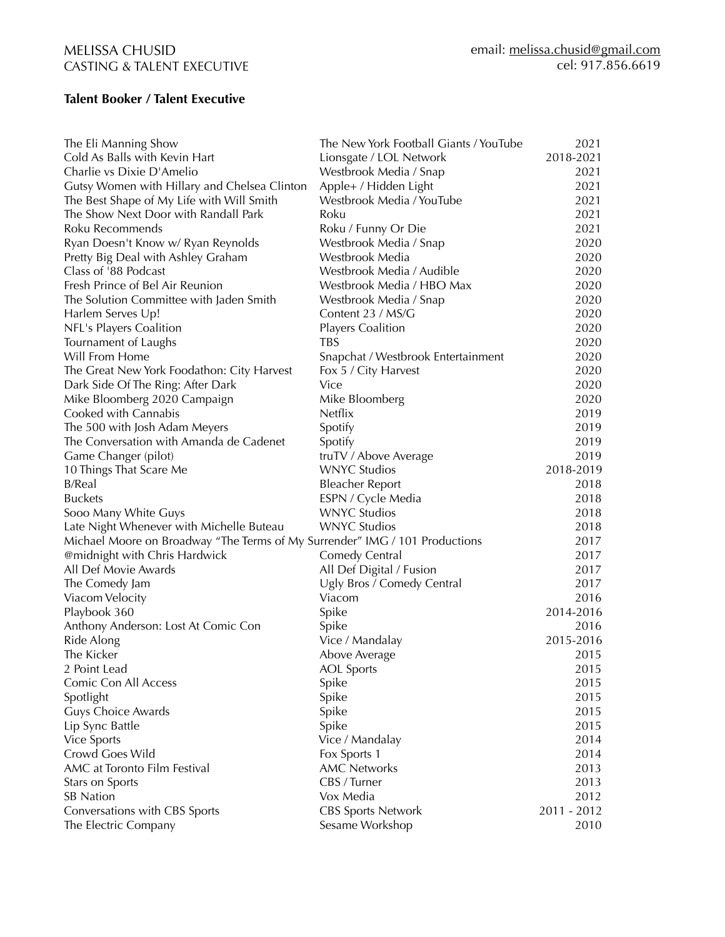### **Talent Booker / Talent Executive**

| The Eli Manning Show                                                        | The New York Football Giants / YouTube | 2021        |
|-----------------------------------------------------------------------------|----------------------------------------|-------------|
| Cold As Balls with Kevin Hart                                               | Lionsgate / LOL Network                | 2018-2021   |
| Charlie vs Dixie D'Amelio                                                   | Westbrook Media / Snap                 | 2021        |
| Gutsy Women with Hillary and Chelsea Clinton                                | Apple+ / Hidden Light                  | 2021        |
| The Best Shape of My Life with Will Smith                                   | Westbrook Media / YouTube              | 2021        |
| The Show Next Door with Randall Park                                        | Roku                                   | 2021        |
| Roku Recommends                                                             | Roku / Funny Or Die                    | 2021        |
| Ryan Doesn't Know w/ Ryan Reynolds                                          | Westbrook Media / Snap                 | 2020        |
| Pretty Big Deal with Ashley Graham                                          | Westbrook Media                        | 2020        |
| Class of '88 Podcast                                                        | Westbrook Media / Audible              | 2020        |
| Fresh Prince of Bel Air Reunion                                             | Westbrook Media / HBO Max              | 2020        |
| The Solution Committee with Jaden Smith                                     | Westbrook Media / Snap                 | 2020        |
| Harlem Serves Up!                                                           | Content 23 / MS/G                      | 2020        |
| NFL's Players Coalition                                                     | <b>Players Coalition</b>               | 2020        |
| Tournament of Laughs                                                        | TBS                                    | 2020        |
| Will From Home                                                              | Snapchat / Westbrook Entertainment     | 2020        |
| The Great New York Foodathon: City Harvest                                  | Fox 5 / City Harvest                   | 2020        |
| Dark Side Of The Ring: After Dark                                           | Vice                                   | 2020        |
| Mike Bloomberg 2020 Campaign                                                | Mike Bloomberg                         | 2020        |
| Cooked with Cannabis                                                        | <b>Netflix</b>                         | 2019        |
| The 500 with Josh Adam Meyers                                               | Spotify                                | 2019        |
| The Conversation with Amanda de Cadenet                                     | Spotify                                | 2019        |
| Game Changer (pilot)                                                        | truTV / Above Average                  | 2019        |
| 10 Things That Scare Me                                                     | <b>WNYC Studios</b>                    | 2018-2019   |
| B/Real                                                                      | <b>Bleacher Report</b>                 | 2018        |
| <b>Buckets</b>                                                              | ESPN / Cycle Media                     | 2018        |
| Sooo Many White Guys                                                        | <b>WNYC Studios</b>                    | 2018        |
| Late Night Whenever with Michelle Buteau                                    | <b>WNYC Studios</b>                    | 2018        |
| Michael Moore on Broadway "The Terms of My Surrender" IMG / 101 Productions |                                        | 2017        |
| @midnight with Chris Hardwick                                               | Comedy Central                         | 2017        |
| All Def Movie Awards                                                        | All Def Digital / Fusion               | 2017        |
| The Comedy Jam                                                              | Ugly Bros / Comedy Central             | 2017        |
| Viacom Velocity                                                             | Viacom                                 | 2016        |
| Playbook 360                                                                | Spike                                  | 2014-2016   |
| Anthony Anderson: Lost At Comic Con                                         | Spike                                  | 2016        |
| Ride Along                                                                  | Vice / Mandalay                        | 2015-2016   |
| The Kicker                                                                  | Above Average                          | 2015        |
| 2 Point Lead                                                                | <b>AOL</b> Sports                      | 2015        |
| Comic Con All Access                                                        | Spike                                  | 2015        |
| Spotlight                                                                   | Spike                                  | 2015        |
| Guys Choice Awards                                                          | Spike                                  | 2015        |
| Lip Sync Battle                                                             | Spike                                  | 2015        |
| Vice Sports                                                                 | Vice / Mandalay                        | 2014        |
| Crowd Goes Wild                                                             | Fox Sports 1                           | 2014        |
| AMC at Toronto Film Festival                                                | <b>AMC Networks</b>                    | 2013        |
| Stars on Sports                                                             | CBS / Turner                           | 2013        |
| <b>SB</b> Nation                                                            | Vox Media                              | 2012        |
| Conversations with CBS Sports                                               | <b>CBS Sports Network</b>              | 2011 - 2012 |
| The Electric Company                                                        | Sesame Workshop                        | 2010        |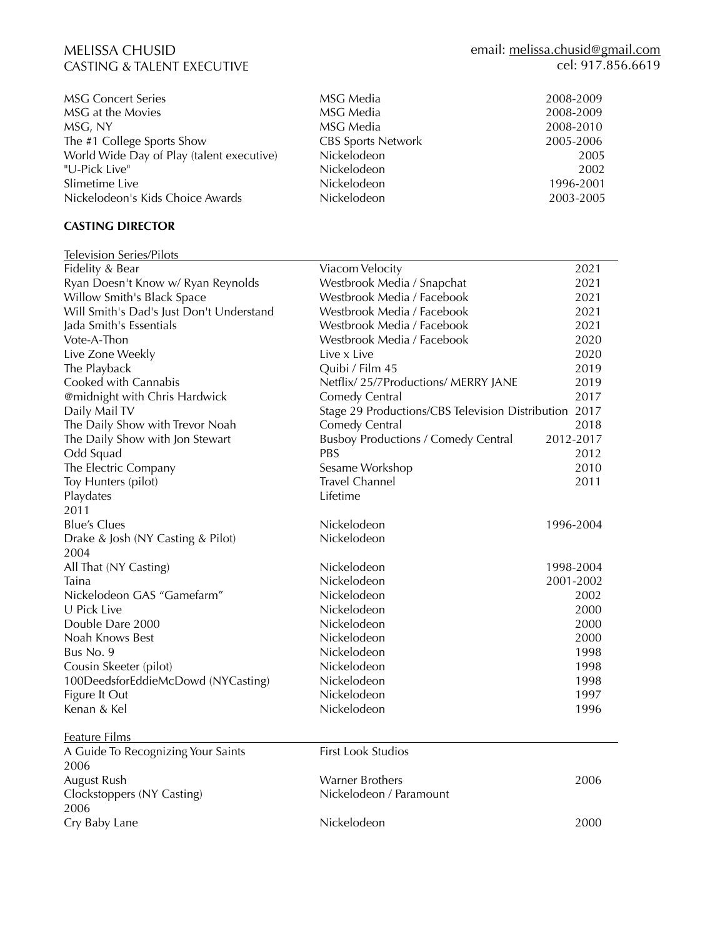| <b>MSG Concert Series</b>                 | MSG Media                 | 2008-2009 |
|-------------------------------------------|---------------------------|-----------|
| MSG at the Movies                         | MSG Media                 | 2008-2009 |
| MSG, NY                                   | MSG Media                 | 2008-2010 |
| The #1 College Sports Show                | <b>CBS Sports Network</b> | 2005-2006 |
| World Wide Day of Play (talent executive) | Nickelodeon               | 2005      |
| "U-Pick Live"                             | Nickelodeon               | 2002      |
| Slimetime Live                            | Nickelodeon               | 1996-2001 |
| Nickelodeon's Kids Choice Awards          | Nickelodeon               | 2003-2005 |

#### **CASTING DIRECTOR**

| <b>Television Series/Pilots</b>          |                                                       |           |
|------------------------------------------|-------------------------------------------------------|-----------|
| Fidelity & Bear                          | Viacom Velocity                                       | 2021      |
| Ryan Doesn't Know w/ Ryan Reynolds       | Westbrook Media / Snapchat                            | 2021      |
| Willow Smith's Black Space               | Westbrook Media / Facebook                            | 2021      |
| Will Smith's Dad's Just Don't Understand | Westbrook Media / Facebook                            | 2021      |
| Jada Smith's Essentials                  | Westbrook Media / Facebook                            | 2021      |
| Vote-A-Thon                              | Westbrook Media / Facebook                            | 2020      |
| Live Zone Weekly                         | Live x Live                                           | 2020      |
| The Playback                             | Quibi / Film 45                                       | 2019      |
| Cooked with Cannabis                     | Netflix/25/7Productions/ MERRY JANE                   | 2019      |
| @midnight with Chris Hardwick            | Comedy Central                                        | 2017      |
| Daily Mail TV                            | Stage 29 Productions/CBS Television Distribution 2017 |           |
| The Daily Show with Trevor Noah          | Comedy Central                                        | 2018      |
| The Daily Show with Jon Stewart          | <b>Busboy Productions / Comedy Central</b>            | 2012-2017 |
| Odd Squad                                | PBS                                                   | 2012      |
| The Electric Company                     | Sesame Workshop                                       | 2010      |
| Toy Hunters (pilot)                      | <b>Travel Channel</b>                                 | 2011      |
| Playdates                                | Lifetime                                              |           |
| 2011                                     |                                                       |           |
| <b>Blue's Clues</b>                      | Nickelodeon                                           | 1996-2004 |
| Drake & Josh (NY Casting & Pilot)        | Nickelodeon                                           |           |
| 2004                                     |                                                       |           |
| All That (NY Casting)                    | Nickelodeon                                           | 1998-2004 |
| Taina                                    | Nickelodeon                                           | 2001-2002 |
| Nickelodeon GAS "Gamefarm"               | Nickelodeon                                           | 2002      |
| U Pick Live                              | Nickelodeon                                           | 2000      |
| Double Dare 2000                         | Nickelodeon                                           | 2000      |
| Noah Knows Best                          | Nickelodeon                                           | 2000      |
| Bus No. 9                                | Nickelodeon                                           | 1998      |
| Cousin Skeeter (pilot)                   | Nickelodeon                                           | 1998      |
| 100DeedsforEddieMcDowd (NYCasting)       | Nickelodeon                                           | 1998      |
| Figure It Out                            | Nickelodeon                                           | 1997      |
| Kenan & Kel                              | Nickelodeon                                           | 1996      |
| Feature Films                            |                                                       |           |
| A Guide To Recognizing Your Saints       | <b>First Look Studios</b>                             |           |
| 2006                                     |                                                       |           |
| August Rush                              | <b>Warner Brothers</b>                                | 2006      |
| Clockstoppers (NY Casting)               | Nickelodeon / Paramount                               |           |
| 2006                                     |                                                       |           |
| Cry Baby Lane                            | Nickelodeon                                           | 2000      |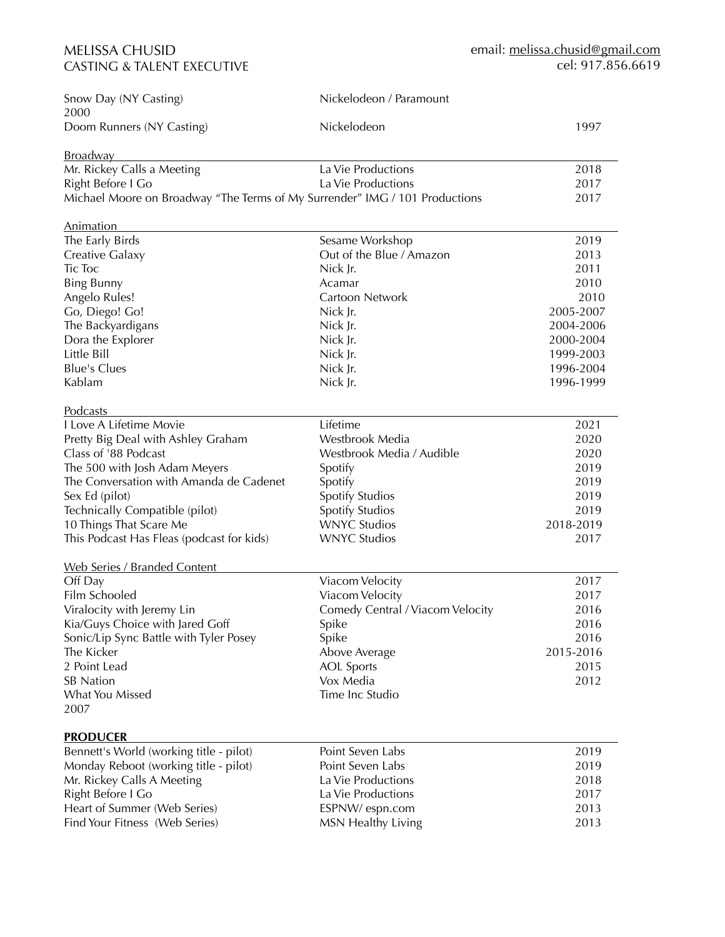| Snow Day (NY Casting)<br>2000                                               | Nickelodeon / Paramount          |           |
|-----------------------------------------------------------------------------|----------------------------------|-----------|
| Doom Runners (NY Casting)                                                   | Nickelodeon                      | 1997      |
| <b>Broadway</b>                                                             |                                  |           |
| Mr. Rickey Calls a Meeting                                                  | La Vie Productions               | 2018      |
| Right Before I Go                                                           | La Vie Productions               | 2017      |
| Michael Moore on Broadway "The Terms of My Surrender" IMG / 101 Productions |                                  | 2017      |
| <b>Animation</b>                                                            |                                  |           |
| The Early Birds                                                             | Sesame Workshop                  | 2019      |
| Creative Galaxy                                                             | Out of the Blue / Amazon         | 2013      |
| <b>Tic Toc</b>                                                              | Nick Jr.                         | 2011      |
| <b>Bing Bunny</b>                                                           | Acamar                           | 2010      |
| Angelo Rules!                                                               | Cartoon Network                  | 2010      |
| Go, Diego! Go!                                                              | Nick Jr.                         | 2005-2007 |
| The Backyardigans                                                           | Nick Jr.                         | 2004-2006 |
| Dora the Explorer                                                           | Nick Jr.                         | 2000-2004 |
| Little Bill                                                                 | Nick Jr.                         | 1999-2003 |
| <b>Blue's Clues</b>                                                         | Nick Jr.                         | 1996-2004 |
| Kablam                                                                      | Nick Jr.                         | 1996-1999 |
| <b>Podcasts</b>                                                             |                                  |           |
| I Love A Lifetime Movie                                                     | Lifetime                         | 2021      |
| Pretty Big Deal with Ashley Graham                                          | Westbrook Media                  | 2020      |
| Class of '88 Podcast                                                        | Westbrook Media / Audible        | 2020      |
| The 500 with Josh Adam Meyers                                               | Spotify                          | 2019      |
| The Conversation with Amanda de Cadenet                                     | Spotify                          | 2019      |
| Sex Ed (pilot)                                                              | Spotify Studios                  | 2019      |
| Technically Compatible (pilot)                                              | Spotify Studios                  | 2019      |
| 10 Things That Scare Me                                                     | <b>WNYC Studios</b>              | 2018-2019 |
| This Podcast Has Fleas (podcast for kids)                                   | <b>WNYC Studios</b>              | 2017      |
| <b>Web Series / Branded Content</b>                                         |                                  |           |
| Off Day                                                                     | Viacom Velocity                  | 2017      |
| Film Schooled                                                               | Viacom Velocity                  | 2017      |
| Viralocity with Jeremy Lin                                                  | Comedy Central / Viacom Velocity | 2016      |
| Kia/Guys Choice with Jared Goff                                             | Spike                            | 2016      |
| Sonic/Lip Sync Battle with Tyler Posey                                      | Spike                            | 2016      |
| The Kicker                                                                  | Above Average                    | 2015-2016 |
| 2 Point Lead                                                                | <b>AOL</b> Sports                | 2015      |
| <b>SB Nation</b>                                                            | Vox Media                        | 2012      |
| What You Missed                                                             | Time Inc Studio                  |           |
| 2007                                                                        |                                  |           |
| <b>PRODUCER</b>                                                             |                                  |           |
| Bennett's World (working title - pilot)                                     | Point Seven Labs                 | 2019      |
| Monday Reboot (working title - pilot)                                       | Point Seven Labs                 | 2019      |
| Mr. Rickey Calls A Meeting                                                  | La Vie Productions               | 2018      |
| Right Before I Go                                                           | La Vie Productions               | 2017      |
| Heart of Summer (Web Series)                                                | ESPNW/ espn.com                  | 2013      |
| Find Your Fitness (Web Series)                                              | MSN Healthy Living               | 2013      |